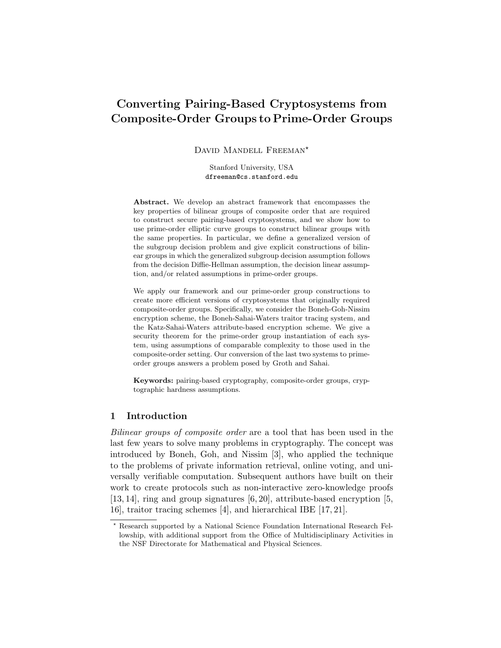# Converting Pairing-Based Cryptosystems from Composite-Order Groups to Prime-Order Groups

DAVID MANDELL FREEMAN<sup>\*</sup>

Stanford University, USA dfreeman@cs.stanford.edu

Abstract. We develop an abstract framework that encompasses the key properties of bilinear groups of composite order that are required to construct secure pairing-based cryptosystems, and we show how to use prime-order elliptic curve groups to construct bilinear groups with the same properties. In particular, we define a generalized version of the subgroup decision problem and give explicit constructions of bilinear groups in which the generalized subgroup decision assumption follows from the decision Diffie-Hellman assumption, the decision linear assumption, and/or related assumptions in prime-order groups.

We apply our framework and our prime-order group constructions to create more efficient versions of cryptosystems that originally required composite-order groups. Specifically, we consider the Boneh-Goh-Nissim encryption scheme, the Boneh-Sahai-Waters traitor tracing system, and the Katz-Sahai-Waters attribute-based encryption scheme. We give a security theorem for the prime-order group instantiation of each system, using assumptions of comparable complexity to those used in the composite-order setting. Our conversion of the last two systems to primeorder groups answers a problem posed by Groth and Sahai.

Keywords: pairing-based cryptography, composite-order groups, cryptographic hardness assumptions.

#### 1 Introduction

Bilinear groups of composite order are a tool that has been used in the last few years to solve many problems in cryptography. The concept was introduced by Boneh, Goh, and Nissim [3], who applied the technique to the problems of private information retrieval, online voting, and universally verifiable computation. Subsequent authors have built on their work to create protocols such as non-interactive zero-knowledge proofs [13, 14], ring and group signatures [6, 20], attribute-based encryption [5, 16], traitor tracing schemes [4], and hierarchical IBE [17, 21].

 $^\star$  Research supported by a National Science Foundation International Research Fellowship, with additional support from the Office of Multidisciplinary Activities in the NSF Directorate for Mathematical and Physical Sciences.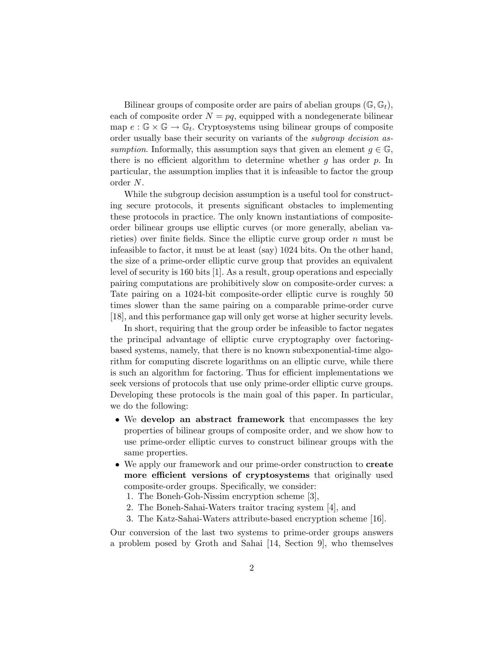Bilinear groups of composite order are pairs of abelian groups  $(\mathbb{G}, \mathbb{G}_t)$ , each of composite order  $N = pq$ , equipped with a nondegenerate bilinear map  $e : \mathbb{G} \times \mathbb{G} \to \mathbb{G}_t$ . Cryptosystems using bilinear groups of composite order usually base their security on variants of the subgroup decision assumption. Informally, this assumption says that given an element  $q \in \mathbb{G}$ , there is no efficient algorithm to determine whether  $g$  has order  $p$ . In particular, the assumption implies that it is infeasible to factor the group order N.

While the subgroup decision assumption is a useful tool for constructing secure protocols, it presents significant obstacles to implementing these protocols in practice. The only known instantiations of compositeorder bilinear groups use elliptic curves (or more generally, abelian varieties) over finite fields. Since the elliptic curve group order  $n$  must be infeasible to factor, it must be at least (say) 1024 bits. On the other hand, the size of a prime-order elliptic curve group that provides an equivalent level of security is 160 bits [1]. As a result, group operations and especially pairing computations are prohibitively slow on composite-order curves: a Tate pairing on a 1024-bit composite-order elliptic curve is roughly 50 times slower than the same pairing on a comparable prime-order curve [18], and this performance gap will only get worse at higher security levels.

In short, requiring that the group order be infeasible to factor negates the principal advantage of elliptic curve cryptography over factoringbased systems, namely, that there is no known subexponential-time algorithm for computing discrete logarithms on an elliptic curve, while there is such an algorithm for factoring. Thus for efficient implementations we seek versions of protocols that use only prime-order elliptic curve groups. Developing these protocols is the main goal of this paper. In particular, we do the following:

- We develop an abstract framework that encompasses the key properties of bilinear groups of composite order, and we show how to use prime-order elliptic curves to construct bilinear groups with the same properties.
- We apply our framework and our prime-order construction to **create** more efficient versions of cryptosystems that originally used composite-order groups. Specifically, we consider:

1. The Boneh-Goh-Nissim encryption scheme [3],

- 2. The Boneh-Sahai-Waters traitor tracing system [4], and
- 3. The Katz-Sahai-Waters attribute-based encryption scheme [16].

Our conversion of the last two systems to prime-order groups answers a problem posed by Groth and Sahai [14, Section 9], who themselves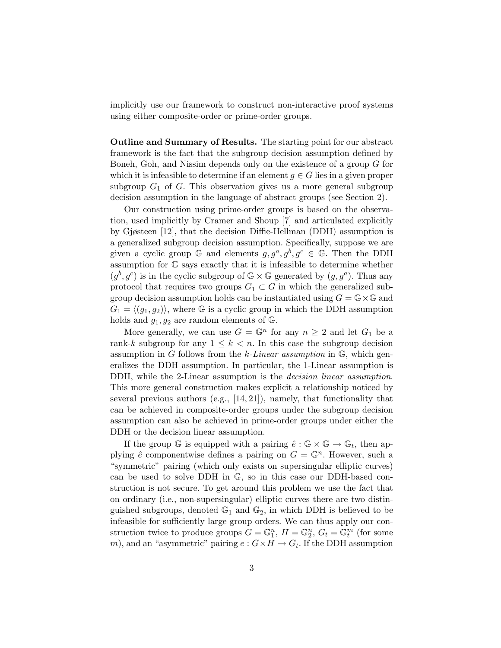implicitly use our framework to construct non-interactive proof systems using either composite-order or prime-order groups.

Outline and Summary of Results. The starting point for our abstract framework is the fact that the subgroup decision assumption defined by Boneh, Goh, and Nissim depends only on the existence of a group G for which it is infeasible to determine if an element  $g \in G$  lies in a given proper subgroup  $G_1$  of G. This observation gives us a more general subgroup decision assumption in the language of abstract groups (see Section 2).

Our construction using prime-order groups is based on the observation, used implicitly by Cramer and Shoup [7] and articulated explicitly by Gjøsteen [12], that the decision Diffie-Hellman (DDH) assumption is a generalized subgroup decision assumption. Specifically, suppose we are given a cyclic group  $\mathbb{G}$  and elements  $g, g^a, g^b, g^c \in \mathbb{G}$ . Then the DDH assumption for G says exactly that it is infeasible to determine whether  $(g^b, g^c)$  is in the cyclic subgroup of  $\mathbb{G} \times \mathbb{G}$  generated by  $(g, g^a)$ . Thus any protocol that requires two groups  $G_1 \subset G$  in which the generalized subgroup decision assumption holds can be instantiated using  $G = \mathbb{G} \times \mathbb{G}$  and  $G_1 = \langle (g_1, g_2) \rangle$ , where G is a cyclic group in which the DDH assumption holds and  $g_1, g_2$  are random elements of  $\mathbb{G}$ .

More generally, we can use  $G = \mathbb{G}^n$  for any  $n \geq 2$  and let  $G_1$  be a rank-k subgroup for any  $1 \leq k \leq n$ . In this case the subgroup decision assumption in G follows from the k-Linear assumption in  $\mathbb{G}$ , which generalizes the DDH assumption. In particular, the 1-Linear assumption is DDH, while the 2-Linear assumption is the *decision linear assumption*. This more general construction makes explicit a relationship noticed by several previous authors (e.g.,  $[14, 21]$ ), namely, that functionality that can be achieved in composite-order groups under the subgroup decision assumption can also be achieved in prime-order groups under either the DDH or the decision linear assumption.

If the group  $\mathbb G$  is equipped with a pairing  $\hat{e}: \mathbb G \times \mathbb G \to \mathbb G_t$ , then applying  $\hat{e}$  componentwise defines a pairing on  $G = \mathbb{G}^n$ . However, such a "symmetric" pairing (which only exists on supersingular elliptic curves) can be used to solve DDH in G, so in this case our DDH-based construction is not secure. To get around this problem we use the fact that on ordinary (i.e., non-supersingular) elliptic curves there are two distinguished subgroups, denoted  $\mathbb{G}_1$  and  $\mathbb{G}_2$ , in which DDH is believed to be infeasible for sufficiently large group orders. We can thus apply our construction twice to produce groups  $G = \mathbb{G}_1^n$ ,  $H = \mathbb{G}_2^n$ ,  $G_t = \mathbb{G}_t^m$  (for some m), and an "asymmetric" pairing  $e: G \times H \to G_t$ . If the DDH assumption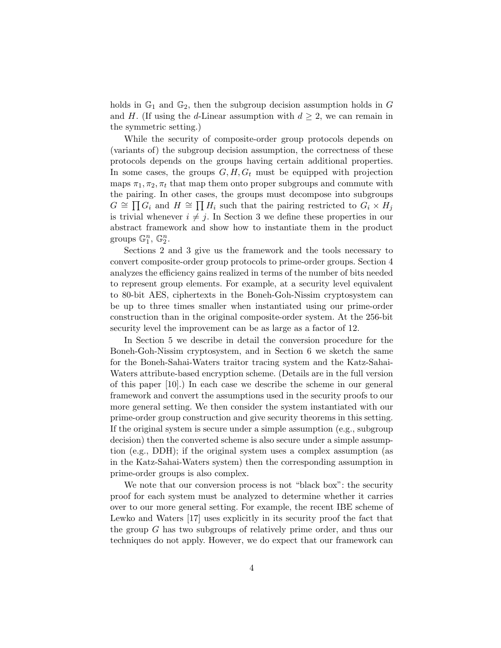holds in  $\mathbb{G}_1$  and  $\mathbb{G}_2$ , then the subgroup decision assumption holds in G and H. (If using the d-Linear assumption with  $d \geq 2$ , we can remain in the symmetric setting.)

While the security of composite-order group protocols depends on (variants of) the subgroup decision assumption, the correctness of these protocols depends on the groups having certain additional properties. In some cases, the groups  $G, H, G_t$  must be equipped with projection maps  $\pi_1, \pi_2, \pi_t$  that map them onto proper subgroups and commute with the pairing. In other cases, the groups must decompose into subgroups  $G \cong \prod G_i$  and  $H \cong \prod H_i$  such that the pairing restricted to  $G_i \times H_j$ is trivial whenever  $i \neq j$ . In Section 3 we define these properties in our abstract framework and show how to instantiate them in the product groups  $\mathbb{G}_1^n$ ,  $\mathbb{G}_2^n$ .

Sections 2 and 3 give us the framework and the tools necessary to convert composite-order group protocols to prime-order groups. Section 4 analyzes the efficiency gains realized in terms of the number of bits needed to represent group elements. For example, at a security level equivalent to 80-bit AES, ciphertexts in the Boneh-Goh-Nissim cryptosystem can be up to three times smaller when instantiated using our prime-order construction than in the original composite-order system. At the 256-bit security level the improvement can be as large as a factor of 12.

In Section 5 we describe in detail the conversion procedure for the Boneh-Goh-Nissim cryptosystem, and in Section 6 we sketch the same for the Boneh-Sahai-Waters traitor tracing system and the Katz-Sahai-Waters attribute-based encryption scheme. (Details are in the full version of this paper [10].) In each case we describe the scheme in our general framework and convert the assumptions used in the security proofs to our more general setting. We then consider the system instantiated with our prime-order group construction and give security theorems in this setting. If the original system is secure under a simple assumption (e.g., subgroup decision) then the converted scheme is also secure under a simple assumption (e.g., DDH); if the original system uses a complex assumption (as in the Katz-Sahai-Waters system) then the corresponding assumption in prime-order groups is also complex.

We note that our conversion process is not "black box": the security proof for each system must be analyzed to determine whether it carries over to our more general setting. For example, the recent IBE scheme of Lewko and Waters [17] uses explicitly in its security proof the fact that the group G has two subgroups of relatively prime order, and thus our techniques do not apply. However, we do expect that our framework can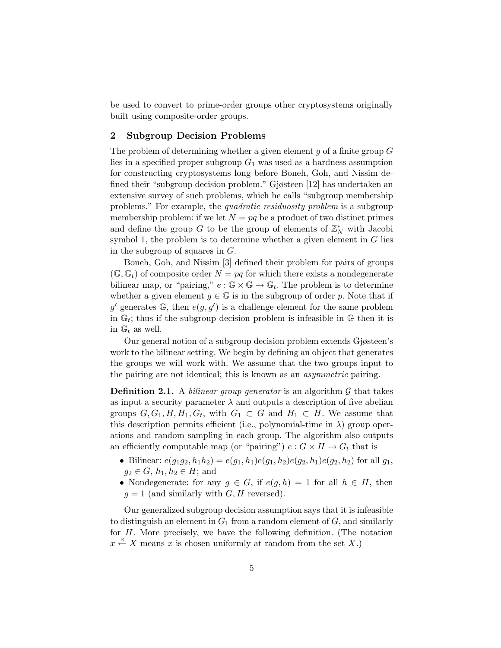be used to convert to prime-order groups other cryptosystems originally built using composite-order groups.

## 2 Subgroup Decision Problems

The problem of determining whether a given element g of a finite group  $G$ lies in a specified proper subgroup  $G_1$  was used as a hardness assumption for constructing cryptosystems long before Boneh, Goh, and Nissim defined their "subgroup decision problem." Gjøsteen [12] has undertaken an extensive survey of such problems, which he calls "subgroup membership problems." For example, the quadratic residuosity problem is a subgroup membership problem: if we let  $N = pq$  be a product of two distinct primes and define the group  $G$  to be the group of elements of  $\mathbb{Z}_N^*$  with Jacobi symbol 1, the problem is to determine whether a given element in  $G$  lies in the subgroup of squares in G.

Boneh, Goh, and Nissim [3] defined their problem for pairs of groups  $(\mathbb{G}, \mathbb{G}_t)$  of composite order  $N = pq$  for which there exists a nondegenerate bilinear map, or "pairing,"  $e : \mathbb{G} \times \mathbb{G} \to \mathbb{G}_t$ . The problem is to determine whether a given element  $g \in \mathbb{G}$  is in the subgroup of order p. Note that if g' generates  $\mathbb{G}$ , then  $e(g, g')$  is a challenge element for the same problem in  $\mathbb{G}_t$ ; thus if the subgroup decision problem is infeasible in  $\mathbb{G}$  then it is in  $\mathbb{G}_t$  as well.

Our general notion of a subgroup decision problem extends Gjøsteen's work to the bilinear setting. We begin by defining an object that generates the groups we will work with. We assume that the two groups input to the pairing are not identical; this is known as an asymmetric pairing.

**Definition 2.1.** A *bilinear group generator* is an algorithm  $\mathcal{G}$  that takes as input a security parameter  $\lambda$  and outputs a description of five abelian groups  $G, G_1, H, H_1, G_t$ , with  $G_1 \subset G$  and  $H_1 \subset H$ . We assume that this description permits efficient (i.e., polynomial-time in  $\lambda$ ) group operations and random sampling in each group. The algorithm also outputs an efficiently computable map (or "pairing")  $e : G \times H \to G_t$  that is

- Bilinear:  $e(g_1g_2, h_1h_2) = e(g_1, h_1)e(g_1, h_2)e(g_2, h_1)e(g_2, h_2)$  for all  $g_1$ ,  $g_2 \in G$ ,  $h_1, h_2 \in H$ ; and
- Nondegenerate: for any  $g \in G$ , if  $e(g, h) = 1$  for all  $h \in H$ , then  $g = 1$  (and similarly with  $G, H$  reversed).

Our generalized subgroup decision assumption says that it is infeasible to distinguish an element in  $G_1$  from a random element of  $G$ , and similarly for H. More precisely, we have the following definition. (The notation  $x \stackrel{\text{R}}{\leftarrow} X$  means x is chosen uniformly at random from the set X.)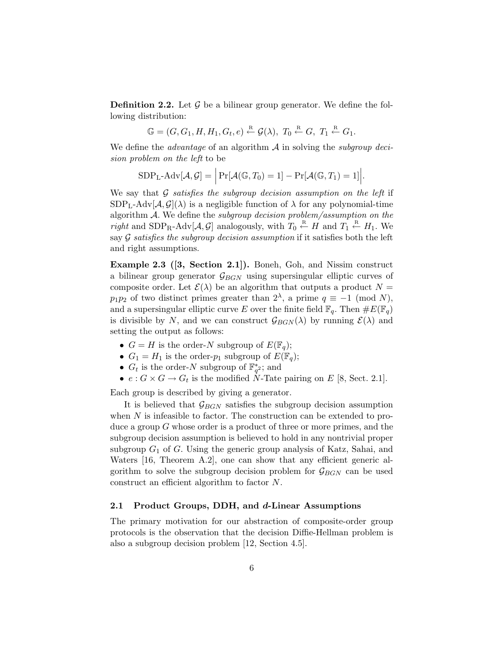**Definition 2.2.** Let G be a bilinear group generator. We define the following distribution:

 $\mathbb{G} = (G, G_1, H, H_1, G_t, e) \stackrel{\text{R}}{\leftarrow} \mathcal{G}(\lambda), T_0 \stackrel{\text{R}}{\leftarrow} G, T_1 \stackrel{\text{R}}{\leftarrow} G_1.$ 

We define the *advantage* of an algorithm  $A$  in solving the *subgroup deci*sion problem on the left to be

$$
SDP_{L}\text{-}Adv[\mathcal{A}, \mathcal{G}] = \left| Pr[\mathcal{A}(\mathbb{G}, T_0) = 1] - Pr[\mathcal{A}(\mathbb{G}, T_1) = 1] \right|.
$$

We say that  $G$  satisfies the subgroup decision assumption on the left if  $SDP_{L-}\text{Adv}[\mathcal{A}, \mathcal{G}](\lambda)$  is a negligible function of  $\lambda$  for any polynomial-time algorithm  $A$ . We define the subgroup decision problem/assumption on the *right* and  $SDP_R-Adv[ A, G ]$  analogously, with  $T_0 \stackrel{R}{\leftarrow} H$  and  $T_1 \stackrel{R}{\leftarrow} H_1$ . We say  $G$  satisfies the subgroup decision assumption if it satisfies both the left and right assumptions.

Example 2.3 ([3, Section 2.1]). Boneh, Goh, and Nissim construct a bilinear group generator  $\mathcal{G}_{BGN}$  using supersingular elliptic curves of composite order. Let  $\mathcal{E}(\lambda)$  be an algorithm that outputs a product  $N =$  $p_1p_2$  of two distinct primes greater than  $2^{\lambda}$ , a prime  $q \equiv -1 \pmod{N}$ , and a supersingular elliptic curve E over the finite field  $\mathbb{F}_q$ . Then  $\#E(\mathbb{F}_q)$ is divisible by N, and we can construct  $\mathcal{G}_{BGN}(\lambda)$  by running  $\mathcal{E}(\lambda)$  and setting the output as follows:

- $G = H$  is the order-N subgroup of  $E(\mathbb{F}_q)$ ;
- $G_1 = H_1$  is the order- $p_1$  subgroup of  $E(\mathbb{F}_q)$ ;
- $G_t$  is the order-N subgroup of  $\mathbb{F}_q^*$ ; and
- $e: G \times G \to G_t$  is the modified N-Tate pairing on E [8, Sect. 2.1].

Each group is described by giving a generator.

It is believed that  $\mathcal{G}_{BGN}$  satisfies the subgroup decision assumption when  $N$  is infeasible to factor. The construction can be extended to produce a group G whose order is a product of three or more primes, and the subgroup decision assumption is believed to hold in any nontrivial proper subgroup  $G_1$  of  $G$ . Using the generic group analysis of Katz, Sahai, and Waters [16, Theorem A.2], one can show that any efficient generic algorithm to solve the subgroup decision problem for  $\mathcal{G}_{BGN}$  can be used construct an efficient algorithm to factor N.

#### 2.1 Product Groups, DDH, and d-Linear Assumptions

The primary motivation for our abstraction of composite-order group protocols is the observation that the decision Diffie-Hellman problem is also a subgroup decision problem [12, Section 4.5].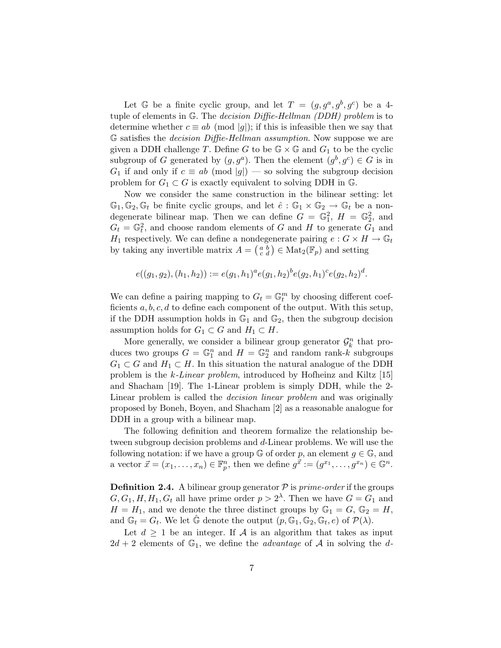Let G be a finite cyclic group, and let  $T = (g, g^a, g^b, g^c)$  be a 4tuple of elements in G. The decision Diffie-Hellman (DDH) problem is to determine whether  $c \equiv ab \pmod{|g|}$ ; if this is infeasible then we say that G satisfies the decision Diffie-Hellman assumption. Now suppose we are given a DDH challenge T. Define G to be  $\mathbb{G} \times \mathbb{G}$  and  $G_1$  to be the cyclic subgroup of G generated by  $(g, g^a)$ . Then the element  $(g^b, g^c) \in G$  is in  $G_1$  if and only if  $c \equiv ab \pmod{|g|}$  — so solving the subgroup decision problem for  $G_1 \subset G$  is exactly equivalent to solving DDH in  $\mathbb{G}$ .

Now we consider the same construction in the bilinear setting: let  $\mathbb{G}_1, \mathbb{G}_2, \mathbb{G}_t$  be finite cyclic groups, and let  $\hat{e}: \mathbb{G}_1 \times \mathbb{G}_2 \to \mathbb{G}_t$  be a nondegenerate bilinear map. Then we can define  $G = \mathbb{G}_1^2$ ,  $H = \mathbb{G}_2^2$ , and  $G_t = \mathbb{G}_t^2$ , and choose random elements of G and H to generate  $G_1$  and  $H_1$  respectively. We can define a nondegenerate pairing  $e: G \times H \to \mathbb{G}_t$ by taking any invertible matrix  $A = \begin{pmatrix} a & b \\ c & d \end{pmatrix} \in \text{Mat}_2(\mathbb{F}_p)$  and setting

$$
e((g_1,g_2),(h_1,h_2)):=e(g_1,h_1)^ae(g_1,h_2)^be(g_2,h_1)^ce(g_2,h_2)^d.
$$

We can define a pairing mapping to  $G_t = \mathbb{G}_t^m$  by choosing different coefficients  $a, b, c, d$  to define each component of the output. With this setup, if the DDH assumption holds in  $\mathbb{G}_1$  and  $\mathbb{G}_2$ , then the subgroup decision assumption holds for  $G_1 \subset G$  and  $H_1 \subset H$ .

More generally, we consider a bilinear group generator  $\mathcal{G}_k^n$  that produces two groups  $G = \mathbb{G}_1^n$  and  $H = \mathbb{G}_2^n$  and random rank-k subgroups  $G_1 \subset G$  and  $H_1 \subset H$ . In this situation the natural analogue of the DDH problem is the k-Linear problem, introduced by Hofheinz and Kiltz [15] and Shacham [19]. The 1-Linear problem is simply DDH, while the 2- Linear problem is called the *decision linear problem* and was originally proposed by Boneh, Boyen, and Shacham [2] as a reasonable analogue for DDH in a group with a bilinear map.

The following definition and theorem formalize the relationship between subgroup decision problems and d-Linear problems. We will use the following notation: if we have a group  $\mathbb{G}$  of order p, an element  $g \in \mathbb{G}$ , and a vector  $\vec{x} = (x_1, \ldots, x_n) \in \mathbb{F}_p^n$ , then we define  $g^{\vec{x}} := (g^{x_1}, \ldots, g^{x_n}) \in \mathbb{G}^n$ .

**Definition 2.4.** A bilinear group generator  $P$  is *prime-order* if the groups  $G, G_1, H, H_1, G_t$  all have prime order  $p > 2^{\lambda}$ . Then we have  $G = G_1$  and  $H = H_1$ , and we denote the three distinct groups by  $\mathbb{G}_1 = G$ ,  $\mathbb{G}_2 = H$ , and  $\mathbb{G}_t = G_t$ . We let  $\hat{\mathbb{G}}$  denote the output  $(p, \mathbb{G}_1, \mathbb{G}_2, \mathbb{G}_t, e)$  of  $\mathcal{P}(\lambda)$ .

Let  $d \geq 1$  be an integer. If A is an algorithm that takes as input  $2d + 2$  elements of  $\mathbb{G}_1$ , we define the *advantage* of A in solving the d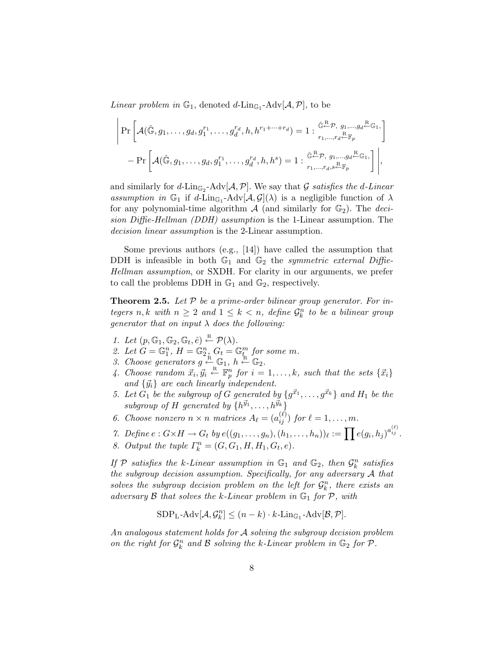*Linear problem in*  $\mathbb{G}_1$ , denoted *d*-Lin<sub> $\mathbb{G}_1$ </sub>-Adv $[\mathcal{A}, \mathcal{P}]$ , to be

$$
\left| \Pr \left[ \mathcal{A}(\hat{\mathbb{G}}, g_1, \dots, g_d, g_1^{r_1}, \dots, g_d^{r_d}, h, h^{r_1 + \dots + r_d}) = 1 : \frac{\hat{\mathbb{G}}_+^R \mathcal{P}, g_1, \dots, g_d^R \mathbb{G}_1,}{r_1, \dots, r_d \stackrel{R}{\leftarrow} \mathbb{F}_p} \right] \right|
$$
  
- 
$$
\left| \mathcal{A}(\hat{\mathbb{G}}, g_1, \dots, g_d, g_1^{r_1}, \dots, g_d^{r_d}, h, h^s) = 1 : \frac{\hat{\mathbb{G}}_+^R \mathcal{P}, g_1, \dots, g_d^R \mathbb{G}_1,}{r_1, \dots, r_d, s \stackrel{R}{\leftarrow} \mathbb{F}_p} \right] \right|,
$$

and similarly for  $d$ -Lin<sub>G2</sub>-Adv[ $A$ ,  $P$ ]. We say that  $G$  satisfies the d-Linear assumption in  $\mathbb{G}_1$  if  $d$ -Lin<sub> $\mathbb{G}_1$ </sub>-Adv $[\mathcal{A}, \mathcal{G}](\lambda)$  is a negligible function of  $\lambda$ for any polynomial-time algorithm  $\mathcal A$  (and similarly for  $\mathbb{G}_2$ ). The *deci*sion Diffie-Hellman (DDH) assumption is the 1-Linear assumption. The decision linear assumption is the 2-Linear assumption.

Some previous authors (e.g., [14]) have called the assumption that DDH is infeasible in both  $\mathbb{G}_1$  and  $\mathbb{G}_2$  the *symmetric external Diffie-*Hellman assumption, or SXDH. For clarity in our arguments, we prefer to call the problems DDH in  $\mathbb{G}_1$  and  $\mathbb{G}_2$ , respectively.

**Theorem 2.5.** Let  $P$  be a prime-order bilinear group generator. For integers  $n, k$  with  $n \geq 2$  and  $1 \leq k < n$ , define  $\mathcal{G}_k^n$  to be a bilinear group generator that on input  $\lambda$  does the following:

- 1. Let  $(p, \mathbb{G}_1, \mathbb{G}_2, \mathbb{G}_t, \hat{e}) \stackrel{\text{R}}{\leftarrow} \mathcal{P}(\lambda)$ .
- 2. Let  $G = \mathbb{G}_1^n$ ,  $H = \mathbb{G}_2^n$ ,  $G_t = \mathbb{G}_\xi^m$  for some m.
- 3. Choose generators  $g \stackrel{\text{R}}{\leftarrow} \mathbb{G}_1$ ,  $h \stackrel{\text{R}}{\leftarrow} \mathbb{G}_2$ .
- 4. Choose random  $\vec{x}_i, \vec{y}_i \stackrel{\text{R}}{\leftarrow} \mathbb{F}_p^n$  for  $i = 1, \ldots, k$ , such that the sets  $\{\vec{x}_i\}$ and  $\{\vec{y}_i\}$  are each linearly independent.
- 5. Let  $G_1$  be the subgroup of G generated by  $\{g^{\vec{x}_1}, \ldots, g^{\vec{x}_k}\}\$  and  $H_1$  be the subgroup of H generated by  $\{h^{\vec{y}_1}, \ldots, h^{\vec{y}_k}\}$
- 6. Choose nonzero  $n \times n$  matrices  $A_{\ell} = (a_{ij}^{(\ell)})$  for  $\ell = 1, \ldots, m$ .
- 7. Define  $e: G \times H \to G_t$  by  $e((g_1, \ldots, g_n), (h_1, \ldots, h_n))_\ell := \prod e(g_i, h_j)^{a_{ij}^{(\ell)}}$ .
- 8. Output the tuple  $\Gamma_k^n = (G, G_1, H, H_1, G_t, e)$ .

If  $P$  satisfies the k-Linear assumption in  $\mathbb{G}_1$  and  $\mathbb{G}_2$ , then  $\mathcal{G}_k^n$  satisfies the subgroup decision assumption. Specifically, for any adversary  $A$  that solves the subgroup decision problem on the left for  $\mathcal{G}_k^n$ , there exists an adversary  $\beta$  that solves the k-Linear problem in  $\mathbb{G}_1$  for  $\mathcal{P}$ , with

$$
\text{SDP}_{\text{L}}\text{-}\text{Adv}[\mathcal{A}, \mathcal{G}_k^n] \le (n-k) \cdot k \text{-}\text{Lin}_{\mathbb{G}_1} \text{-}\text{Adv}[\mathcal{B}, \mathcal{P}].
$$

An analogous statement holds for A solving the subgroup decision problem on the right for  $\mathcal{G}_k^n$  and  $\mathcal B$  solving the k-Linear problem in  $\mathbb G_2$  for  $\mathcal P$ .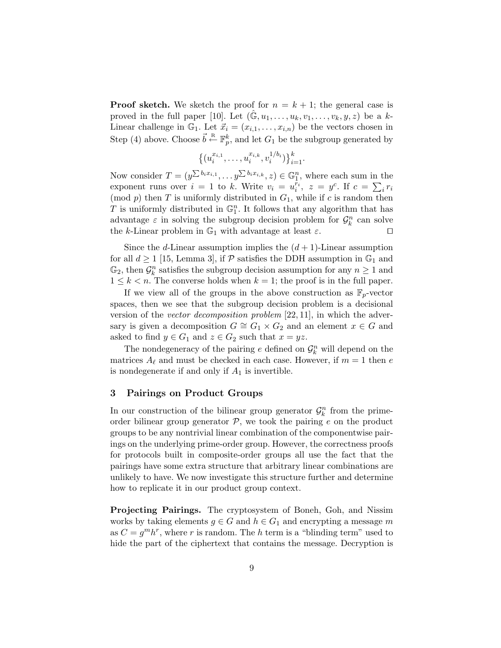**Proof sketch.** We sketch the proof for  $n = k + 1$ ; the general case is proved in the full paper [10]. Let  $(\mathbb{G}, u_1, \ldots, u_k, v_1, \ldots, v_k, y, z)$  be a k-Linear challenge in  $\mathbb{G}_1$ . Let  $\vec{x}_i = (x_{i,1}, \ldots, x_{i,n})$  be the vectors chosen in Step (4) above. Choose  $\vec{b} \stackrel{\text{R}}{\leftarrow} \mathbb{F}_p^k$ , and let  $G_1$  be the subgroup generated by

$$
\{(u_i^{x_{i,1}},\ldots,u_i^{x_{i,k}},v_i^{1/b_i})\}_{i=1}^k.
$$

Now consider  $T = (y^{\sum b_i x_{i,1}}, \dots y^{\sum b_i x_{i,k}}, z) \in \mathbb{G}_1^n$ , where each sum in the exponent runs over  $i = 1$  to k. Write  $v_i = u_i^{\tilde{r}_i}$ ,  $z = y^c$ . If  $c = \sum_i r_i$ (mod  $p$ ) then  $T$  is uniformly distributed in  $G_1$ , while if  $c$  is random then T is uniformly distributed in  $\mathbb{G}_1^n$ . It follows that any algorithm that has advantage  $\varepsilon$  in solving the subgroup decision problem for  $\mathcal{G}_k^n$  can solve the k-Linear problem in  $\mathbb{G}_1$  with advantage at least  $\varepsilon$ .

Since the d-Linear assumption implies the  $(d+1)$ -Linear assumption for all  $d \geq 1$  [15, Lemma 3], if P satisfies the DDH assumption in  $\mathbb{G}_1$  and  $\mathbb{G}_2$ , then  $\mathcal{G}_k^n$  satisfies the subgroup decision assumption for any  $n \geq 1$  and  $1 \leq k < n$ . The converse holds when  $k = 1$ ; the proof is in the full paper.

If we view all of the groups in the above construction as  $\mathbb{F}_p$ -vector spaces, then we see that the subgroup decision problem is a decisional version of the vector decomposition problem [22, 11], in which the adversary is given a decomposition  $G \cong G_1 \times G_2$  and an element  $x \in G$  and asked to find  $y \in G_1$  and  $z \in G_2$  such that  $x = yz$ .

The nondegeneracy of the pairing e defined on  $\mathcal{G}_k^n$  will depend on the matrices  $A_\ell$  and must be checked in each case. However, if  $m = 1$  then e is nondegenerate if and only if  $A_1$  is invertible.

#### 3 Pairings on Product Groups

In our construction of the bilinear group generator  $\mathcal{G}_k^n$  from the primeorder bilinear group generator  $P$ , we took the pairing  $e$  on the product groups to be any nontrivial linear combination of the componentwise pairings on the underlying prime-order group. However, the correctness proofs for protocols built in composite-order groups all use the fact that the pairings have some extra structure that arbitrary linear combinations are unlikely to have. We now investigate this structure further and determine how to replicate it in our product group context.

Projecting Pairings. The cryptosystem of Boneh, Goh, and Nissim works by taking elements  $g \in G$  and  $h \in G_1$  and encrypting a message m as  $C = g<sup>m</sup> h<sup>r</sup>$ , where r is random. The h term is a "blinding term" used to hide the part of the ciphertext that contains the message. Decryption is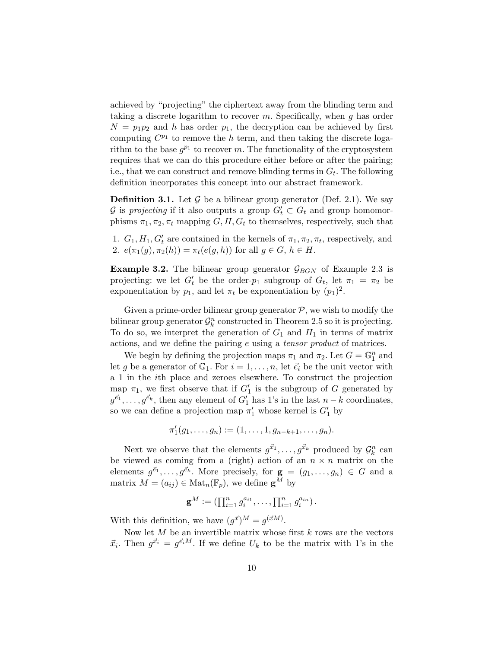achieved by "projecting" the ciphertext away from the blinding term and taking a discrete logarithm to recover  $m$ . Specifically, when  $g$  has order  $N = p_1p_2$  and h has order  $p_1$ , the decryption can be achieved by first computing  $C^{p_1}$  to remove the h term, and then taking the discrete logarithm to the base  $g^{p_1}$  to recover m. The functionality of the cryptosystem requires that we can do this procedure either before or after the pairing; i.e., that we can construct and remove blinding terms in  $G_t$ . The following definition incorporates this concept into our abstract framework.

**Definition 3.1.** Let  $\mathcal G$  be a bilinear group generator (Def. 2.1). We say  $\mathcal G$  is projecting if it also outputs a group  $G'_t \subset G_t$  and group homomorphisms  $\pi_1, \pi_2, \pi_t$  mapping  $G, H, G_t$  to themselves, respectively, such that

1.  $G_1, H_1, G'_t$  are contained in the kernels of  $\pi_1, \pi_2, \pi_t$ , respectively, and 2.  $e(\pi_1(g), \pi_2(h)) = \pi_t(e(g, h))$  for all  $g \in G, h \in H$ .

**Example 3.2.** The bilinear group generator  $\mathcal{G}_{BGN}$  of Example 2.3 is projecting: we let  $G'_{t}$  be the order- $p_1$  subgroup of  $G_t$ , let  $\pi_1 = \pi_2$  be exponentiation by  $p_1$ , and let  $\pi_t$  be exponentiation by  $(p_1)^2$ .

Given a prime-order bilinear group generator  $P$ , we wish to modify the bilinear group generator  $\mathcal{G}_k^n$  constructed in Theorem 2.5 so it is projecting. To do so, we interpret the generation of  $G_1$  and  $H_1$  in terms of matrix actions, and we define the pairing e using a tensor product of matrices.

We begin by defining the projection maps  $\pi_1$  and  $\pi_2$ . Let  $G = \mathbb{G}_1^n$  and let g be a generator of  $\mathbb{G}_1$ . For  $i = 1, \ldots, n$ , let  $\vec{e}_i$  be the unit vector with a 1 in the ith place and zeroes elsewhere. To construct the projection map  $\pi_1$ , we first observe that if  $G'_1$  is the subgroup of G generated by  $g^{\vec{e}_1}, \ldots, g^{\vec{e}_k}$ , then any element of  $G'_1$  has 1's in the last  $n-k$  coordinates, so we can define a projection map  $\pi'_1$  whose kernel is  $G'_1$  by

$$
\pi'_1(g_1,\ldots,g_n) := (1,\ldots,1,g_{n-k+1},\ldots,g_n).
$$

Next we observe that the elements  $g^{\vec{x}_1}, \ldots, g^{\vec{x}_k}$  produced by  $\mathcal{G}_k^n$  can be viewed as coming from a (right) action of an  $n \times n$  matrix on the elements  $g^{\vec{e}_1}, \ldots, g^{\vec{e}_k}$ . More precisely, for  $\mathbf{g} = (g_1, \ldots, g_n) \in G$  and a matrix  $M = (a_{ij}) \in \text{Mat}_n(\mathbb{F}_p)$ , we define  $\mathbf{g}^M$  by

$$
\mathbf{g}^M := (\prod_{i=1}^n g_i^{a_{i1}}, \dots, \prod_{i=1}^n g_i^{a_{in}}).
$$

With this definition, we have  $(g^{\vec{x}})^M = g^{(\vec{x}M)}$ .

Now let  $M$  be an invertible matrix whose first  $k$  rows are the vectors  $\vec{x}_i$ . Then  $g^{\vec{x}_i} = g^{\vec{e}_i M}$ . If we define  $U_k$  to be the matrix with 1's in the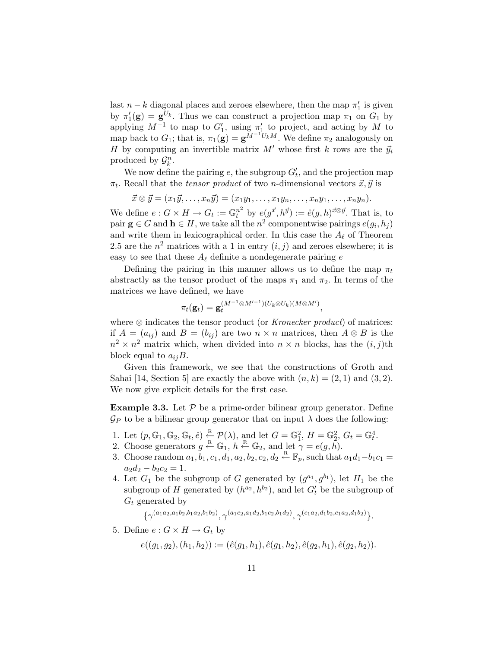last  $n - k$  diagonal places and zeroes elsewhere, then the map  $\pi'_1$  is given by  $\pi'_1(g) = g^{U_k}$ . Thus we can construct a projection map  $\pi_1$  on  $G_1$  by applying  $M^{-1}$  to map to  $G'_1$ , using  $\pi'_1$  to project, and acting by M to map back to  $G_1$ ; that is,  $\pi_1(g) = g^{M^{-1}U_kM}$ . We define  $\pi_2$  analogously on H by computing an invertible matrix M' whose first k rows are the  $\vec{y}_i$ produced by  $\mathcal{G}_k^n$ .

We now define the pairing  $e$ , the subgroup  $G'_{t}$ , and the projection map  $\pi_t$ . Recall that the *tensor product* of two *n*-dimensional vectors  $\vec{x}, \vec{y}$  is

 $\vec{x} \otimes \vec{y} = (x_1\vec{y}, \dots, x_n\vec{y}) = (x_1y_1, \dots, x_1y_n, \dots, x_ny_1, \dots, x_ny_n).$ 

We define  $e: G \times H \to G_t := \mathbb{G}^{n^2}_t$  by  $e(g^{\vec{x}}, h^{\vec{y}}) := \hat{e}(g, h)^{\vec{x} \otimes \vec{y}}$ . That is, to pair  $\mathbf{g} \in G$  and  $\mathbf{h} \in H$ , we take all the  $n^2$  componentwise pairings  $e(g_i, h_j)$ and write them in lexicographical order. In this case the  $A_{\ell}$  of Theorem 2.5 are the  $n^2$  matrices with a 1 in entry  $(i, j)$  and zeroes elsewhere; it is easy to see that these  $A_{\ell}$  definite a nondegenerate pairing  $e$ 

Defining the pairing in this manner allows us to define the map  $\pi_t$ abstractly as the tensor product of the maps  $\pi_1$  and  $\pi_2$ . In terms of the matrices we have defined, we have

$$
\pi_t(\mathbf{g}_t) = \mathbf{g}_t^{(M^{-1}\otimes M'^{-1})(U_k\otimes U_k)(M\otimes M')},
$$

where  $\otimes$  indicates the tensor product (or *Kronecker product*) of matrices: if  $A = (a_{ij})$  and  $B = (b_{ij})$  are two  $n \times n$  matrices, then  $A \otimes B$  is the  $n^2 \times n^2$  matrix which, when divided into  $n \times n$  blocks, has the  $(i, j)$ th block equal to  $a_{ij}B$ .

Given this framework, we see that the constructions of Groth and Sahai [14, Section 5] are exactly the above with  $(n, k) = (2, 1)$  and  $(3, 2)$ . We now give explicit details for the first case.

**Example 3.3.** Let  $P$  be a prime-order bilinear group generator. Define  $\mathcal{G}_P$  to be a bilinear group generator that on input  $\lambda$  does the following:

- 1. Let  $(p, \mathbb{G}_1, \mathbb{G}_2, \mathbb{G}_t, \hat{e}) \xrightarrow{\text{R}} \mathcal{P}(\lambda)$ , and let  $G = \mathbb{G}_1^2$ ,  $H = \mathbb{G}_2^2$ ,  $G_t = \mathbb{G}_t^4$ .
- 2. Choose generators  $g \stackrel{\text{R}}{\leftarrow} \mathbb{G}_1$ ,  $h \stackrel{\text{R}}{\leftarrow} \mathbb{G}_2$ , and let  $\gamma = e(g, \tilde{h})$ .
- 3. Choose random  $a_1, b_1, c_1, d_1, a_2, b_2, c_2, d_2 \stackrel{\text{R}}{\leftarrow} \mathbb{F}_p$ , such that  $a_1d_1 b_1c_1 =$  $a_2d_2 - b_2c_2 = 1.$
- 4. Let  $G_1$  be the subgroup of G generated by  $(g^{a_1}, g^{b_1})$ , let  $H_1$  be the subgroup of H generated by  $(h^{a_2}, h^{b_2})$ , and let  $G'_t$  be the subgroup of  $G_t$  generated by

 $\{\gamma^{(a_1a_2,a_1b_2,b_1a_2,b_1b_2)}, \gamma^{(a_1c_2,a_1d_2,b_1c_2,b_1d_2)}, \gamma^{(c_1a_2,d_1b_2,c_1a_2,d_1b_2)}\}.$ 

5. Define  $e: G \times H \to G_t$  by

 $e((g_1, g_2), (h_1, h_2)) := (\hat{e}(g_1, h_1), \hat{e}(g_1, h_2), \hat{e}(g_2, h_1), \hat{e}(g_2, h_2)).$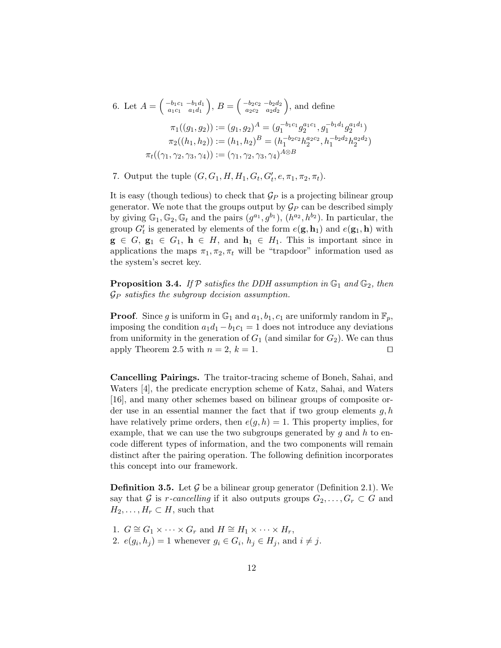6. Let 
$$
A = \begin{pmatrix} -b_1c_1 & -b_1d_1 \\ a_1c_1 & a_1d_1 \end{pmatrix}
$$
,  $B = \begin{pmatrix} -b_2c_2 & -b_2d_2 \\ a_2c_2 & a_2d_2 \end{pmatrix}$ , and define  
\n
$$
\pi_1((g_1, g_2)) := (g_1, g_2)^A = (g_1^{-b_1c_1}g_2^{a_1c_1}, g_1^{-b_1d_1}g_2^{a_1d_1})
$$
\n
$$
\pi_2((h_1, h_2)) := (h_1, h_2)^B = (h_1^{-b_2c_2}h_2^{a_2c_2}, h_1^{-b_2d_2}h_2^{a_2d_2})
$$
\n
$$
\pi_t((\gamma_1, \gamma_2, \gamma_3, \gamma_4)) := (\gamma_1, \gamma_2, \gamma_3, \gamma_4)^{A \otimes B}
$$

7. Output the tuple  $(G, G_1, H, H_1, G_t, G'_t, e, \pi_1, \pi_2, \pi_t)$ .

It is easy (though tedious) to check that  $\mathcal{G}_P$  is a projecting bilinear group generator. We note that the groups output by  $\mathcal{G}_P$  can be described simply by giving  $\mathbb{G}_1, \mathbb{G}_2, \mathbb{G}_t$  and the pairs  $(g^{a_1}, g^{b_1}), (h^{a_2}, h^{b_2})$ . In particular, the group  $G'_{t}$  is generated by elements of the form  $e(\mathbf{g}, \mathbf{h}_1)$  and  $e(\mathbf{g}_1, \mathbf{h})$  with  $g \in G$ ,  $g_1 \in G_1$ ,  $h \in H$ , and  $h_1 \in H_1$ . This is important since in applications the maps  $\pi_1, \pi_2, \pi_t$  will be "trapdoor" information used as the system's secret key.

**Proposition 3.4.** If  $P$  satisfies the DDH assumption in  $\mathbb{G}_1$  and  $\mathbb{G}_2$ , then  $\mathcal{G}_P$  satisfies the subgroup decision assumption.

**Proof.** Since g is uniform in  $\mathbb{G}_1$  and  $a_1, b_1, c_1$  are uniformly random in  $\mathbb{F}_p$ , imposing the condition  $a_1d_1 - b_1c_1 = 1$  does not introduce any deviations from uniformity in the generation of  $G_1$  (and similar for  $G_2$ ). We can thus apply Theorem 2.5 with  $n = 2$ ,  $k = 1$ .

Cancelling Pairings. The traitor-tracing scheme of Boneh, Sahai, and Waters [4], the predicate encryption scheme of Katz, Sahai, and Waters [16], and many other schemes based on bilinear groups of composite order use in an essential manner the fact that if two group elements  $g, h$ have relatively prime orders, then  $e(g, h) = 1$ . This property implies, for example, that we can use the two subgroups generated by q and h to encode different types of information, and the two components will remain distinct after the pairing operation. The following definition incorporates this concept into our framework.

**Definition 3.5.** Let G be a bilinear group generator (Definition 2.1). We say that G is r-cancelling if it also outputs groups  $G_2, \ldots, G_r \subset G$  and  $H_2, \ldots, H_r \subset H$ , such that

1.  $G \cong G_1 \times \cdots \times G_r$  and  $H \cong H_1 \times \cdots \times H_r$ , 2.  $e(g_i, h_j) = 1$  whenever  $g_i \in G_i$ ,  $h_j \in H_j$ , and  $i \neq j$ .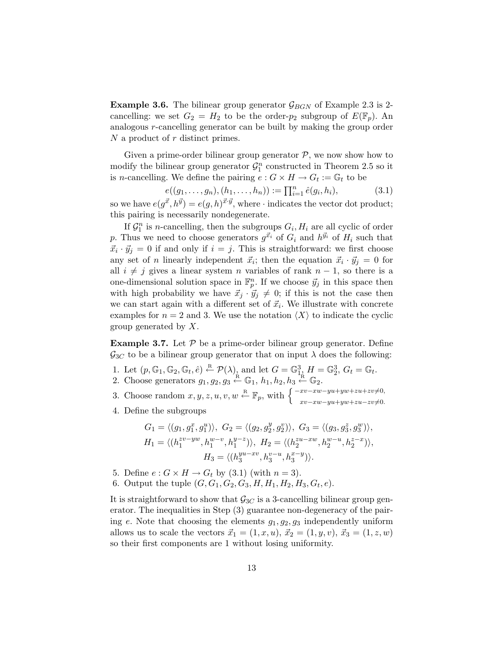**Example 3.6.** The bilinear group generator  $\mathcal{G}_{BGN}$  of Example 2.3 is 2cancelling: we set  $G_2 = H_2$  to be the order- $p_2$  subgroup of  $E(\mathbb{F}_p)$ . An analogous r-cancelling generator can be built by making the group order N a product of r distinct primes.

Given a prime-order bilinear group generator  $P$ , we now show how to modify the bilinear group generator  $\mathcal{G}_1^n$  constructed in Theorem 2.5 so it is *n*-cancelling. We define the pairing  $e: G \times H \to G_t := \mathbb{G}_t$  to be

$$
e((g_1, \ldots, g_n), (h_1, \ldots, h_n)) := \prod_{i=1}^n \hat{e}(g_i, h_i),
$$
\n(3.1)

so we have  $e(g^{\vec{x}}, h^{\vec{y}}) = e(g, h)^{\vec{x} \cdot \vec{y}}$ , where  $\cdot$  indicates the vector dot product; this pairing is necessarily nondegenerate.

If  $\mathcal{G}_1^n$  is *n*-cancelling, then the subgroups  $G_i$ ,  $H_i$  are all cyclic of order p. Thus we need to choose generators  $g^{\vec{x}_i}$  of  $G_i$  and  $h^{\vec{y}_i}$  of  $H_i$  such that  $\vec{x}_i \cdot \vec{y}_j = 0$  if and only if  $i = j$ . This is straightforward: we first choose any set of *n* linearly independent  $\vec{x}_i$ ; then the equation  $\vec{x}_i \cdot \vec{y}_j = 0$  for all  $i \neq j$  gives a linear system n variables of rank  $n - 1$ , so there is a one-dimensional solution space in  $\mathbb{F}_p^n$ . If we choose  $\vec{y}_j$  in this space then with high probability we have  $\vec{x}_j \cdot \vec{y}_j \neq 0$ ; if this is not the case then we can start again with a different set of  $\vec{x}_i$ . We illustrate with concrete examples for  $n = 2$  and 3. We use the notation  $\langle X \rangle$  to indicate the cyclic group generated by  $X$ .

**Example 3.7.** Let  $P$  be a prime-order bilinear group generator. Define  $\mathcal{G}_{3C}$  to be a bilinear group generator that on input  $\lambda$  does the following:

- 1. Let  $(p, \mathbb{G}_1, \mathbb{G}_2, \mathbb{G}_t, \hat{e}) \stackrel{\text{R}}{\leftarrow} \mathcal{P}(\lambda)$  and let  $G = \mathbb{G}_{1,\lambda}^3 H = \mathbb{G}_2^3$ ,  $G_t = \mathbb{G}_t$ .
- 2. Choose generators  $g_1, g_2, g_3 \stackrel{\text{\'e}}{\leftarrow} \mathbb{G}_1$ ,  $h_1, h_2, h_3 \stackrel{\text{\'e}}{\leftarrow} \mathbb{G}_2$ .
- 3. Choose random  $x, y, z, u, v, w \stackrel{\text{R}}{\leftarrow} \mathbb{F}_p$ , with  $\begin{cases} \frac{-xv xw yu + yw + zu + zv \neq 0, \\ xv xw yu + yw + zu zv \neq 0. \end{cases}$
- 4. Define the subgroups

$$
\begin{split} G_1&=\langle (g_1,g_1^x,g_1^u)\rangle,\ G_2=\langle (g_2,g_2^y,g_2^v)\rangle,\ G_3=\langle (g_3,g_3^z,g_3^w)\rangle,\\ H_1&=\langle (h_1^{zv-yw},h_1^{v-v},h_1^{y-z})\rangle,\ H_2=\langle (h_2^{zu-xw},h_2^{v-u},h_2^{z-x})\rangle,\\ H_3&=\langle (h_3^{yu-xv},h_3^{v-u},h_3^{x-y})\rangle. \end{split}
$$

- 5. Define  $e: G \times H \to G_t$  by (3.1) (with  $n = 3$ ).
- 6. Output the tuple  $(G, G_1, G_2, G_3, H, H_1, H_2, H_3, G_t, e)$ .

It is straightforward to show that  $\mathcal{G}_{3C}$  is a 3-cancelling bilinear group generator. The inequalities in Step (3) guarantee non-degeneracy of the pairing e. Note that choosing the elements  $g_1, g_2, g_3$  independently uniform allows us to scale the vectors  $\vec{x}_1 = (1, x, u), \vec{x}_2 = (1, y, v), \vec{x}_3 = (1, z, w)$ so their first components are 1 without losing uniformity.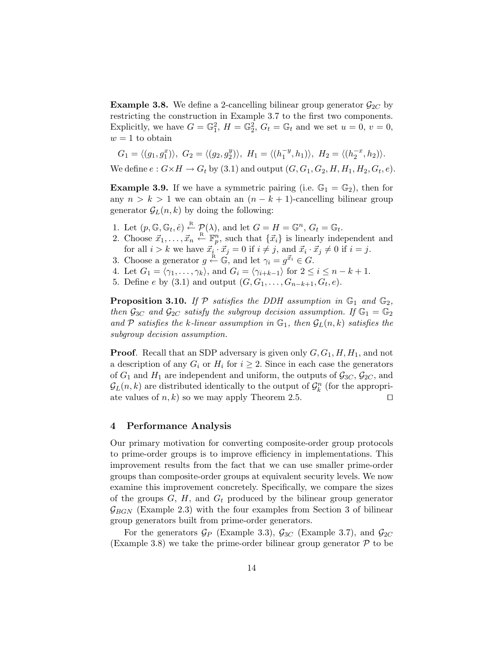**Example 3.8.** We define a 2-cancelling bilinear group generator  $\mathcal{G}_{2C}$  by restricting the construction in Example 3.7 to the first two components. Explicitly, we have  $G = \mathbb{G}_1^2$ ,  $H = \mathbb{G}_2^2$ ,  $G_t = \mathbb{G}_t$  and we set  $u = 0$ ,  $v = 0$ ,  $w = 1$  to obtain

$$
G_1 = \langle (g_1, g_1^x) \rangle, \ G_2 = \langle (g_2, g_2^y) \rangle, \ H_1 = \langle (h_1^{-y}, h_1) \rangle, \ H_2 = \langle (h_2^{-x}, h_2) \rangle.
$$

We define  $e: G \times H \to G_t$  by (3.1) and output  $(G, G_1, G_2, H, H_1, H_2, G_t, e)$ .

**Example 3.9.** If we have a symmetric pairing (i.e.  $\mathbb{G}_1 = \mathbb{G}_2$ ), then for any  $n > k > 1$  we can obtain an  $(n - k + 1)$ -cancelling bilinear group generator  $\mathcal{G}_L(n,k)$  by doing the following:

- 1. Let  $(p, \mathbb{G}, \mathbb{G}_t, \hat{e}) \stackrel{\text{R}}{\leftarrow} \mathcal{P}(\lambda)$ , and let  $G = H = \mathbb{G}^n$ ,  $G_t = \mathbb{G}_t$ .
- 2. Choose  $\vec{x}_1, \ldots, \vec{x}_n \stackrel{\text{R}}{\leftarrow} \mathbb{F}_p^n$ , such that  $\{\vec{x}_i\}$  is linearly independent and for all  $i > k$  we have  $\vec{x}_i \cdot \vec{x}_j = 0$  if  $i \neq j$ , and  $\vec{x}_i \cdot \vec{x}_j \neq 0$  if  $i = j$ .
- 3. Choose a generator  $g \stackrel{\text{R}}{\leftarrow} \mathfrak{S}$ , and let  $\gamma_i = g^{\vec{x}_i} \in G$ .
- 4. Let  $G_1 = \langle \gamma_1, \ldots, \gamma_k \rangle$ , and  $G_i = \langle \gamma_{i+k-1} \rangle$  for  $2 \leq i \leq n-k+1$ .
- 5. Define e by  $(3.1)$  and output  $(G, G_1, \ldots, G_{n-k+1}, G_t, e)$ .

**Proposition 3.10.** If  $P$  satisfies the DDH assumption in  $\mathbb{G}_1$  and  $\mathbb{G}_2$ , then  $\mathcal{G}_{3C}$  and  $\mathcal{G}_{2C}$  satisfy the subgroup decision assumption. If  $\mathbb{G}_1 = \mathbb{G}_2$ and P satisfies the k-linear assumption in  $\mathbb{G}_1$ , then  $\mathcal{G}_L(n,k)$  satisfies the subgroup decision assumption.

**Proof.** Recall that an SDP adversary is given only  $G, G_1, H, H_1$ , and not a description of any  $G_i$  or  $H_i$  for  $i \geq 2$ . Since in each case the generators of  $G_1$  and  $H_1$  are independent and uniform, the outputs of  $\mathcal{G}_{3C}$ ,  $\mathcal{G}_{2C}$ , and  $\mathcal{G}_L(n,k)$  are distributed identically to the output of  $\mathcal{G}_k^n$  (for the appropriate values of  $n, k$ ) so we may apply Theorem 2.5.

#### 4 Performance Analysis

Our primary motivation for converting composite-order group protocols to prime-order groups is to improve efficiency in implementations. This improvement results from the fact that we can use smaller prime-order groups than composite-order groups at equivalent security levels. We now examine this improvement concretely. Specifically, we compare the sizes of the groups  $G, H$ , and  $G_t$  produced by the bilinear group generator  $\mathcal{G}_{BGN}$  (Example 2.3) with the four examples from Section 3 of bilinear group generators built from prime-order generators.

For the generators  $\mathcal{G}_P$  (Example 3.3),  $\mathcal{G}_{3C}$  (Example 3.7), and  $\mathcal{G}_{2C}$ (Example 3.8) we take the prime-order bilinear group generator  $P$  to be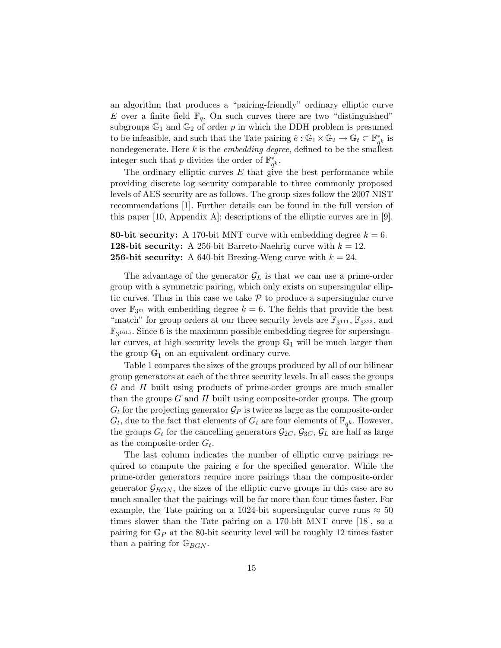an algorithm that produces a "pairing-friendly" ordinary elliptic curve E over a finite field  $\mathbb{F}_q$ . On such curves there are two "distinguished" subgroups  $\mathbb{G}_1$  and  $\mathbb{G}_2$  of order p in which the DDH problem is presumed to be infeasible, and such that the Tate pairing  $\hat{e} : \mathbb{G}_1 \times \mathbb{G}_2 \to \mathbb{G}_t \subset \mathbb{F}_q^*$  $_{q^k}^*$  is nondegenerate. Here  $k$  is the *embedding degree*, defined to be the smallest integer such that p divides the order of  $\mathbb{F}_q^*$  $_q^*$  .

The ordinary elliptic curves  $E$  that give the best performance while providing discrete log security comparable to three commonly proposed levels of AES security are as follows. The group sizes follow the 2007 NIST recommendations [1]. Further details can be found in the full version of this paper [10, Appendix A]; descriptions of the elliptic curves are in [9].

80-bit security: A 170-bit MNT curve with embedding degree  $k = 6$ . 128-bit security: A 256-bit Barreto-Naehrig curve with  $k = 12$ . **256-bit security:** A 640-bit Brezing-Weng curve with  $k = 24$ .

The advantage of the generator  $\mathcal{G}_L$  is that we can use a prime-order group with a symmetric pairing, which only exists on supersingular elliptic curves. Thus in this case we take  $\mathcal P$  to produce a supersingular curve over  $\mathbb{F}_{3^m}$  with embedding degree  $k = 6$ . The fields that provide the best "match" for group orders at our three security levels are  $\mathbb{F}_{3^{111}},\, \mathbb{F}_{3^{323}},$  and  $\mathbb{F}_3$ <sup>1615</sup>. Since 6 is the maximum possible embedding degree for supersingular curves, at high security levels the group  $\mathbb{G}_1$  will be much larger than the group  $\mathbb{G}_1$  on an equivalent ordinary curve.

Table 1 compares the sizes of the groups produced by all of our bilinear group generators at each of the three security levels. In all cases the groups  $G$  and  $H$  built using products of prime-order groups are much smaller than the groups  $G$  and  $H$  built using composite-order groups. The group  $G_t$  for the projecting generator  $\mathcal{G}_P$  is twice as large as the composite-order  $G_t$ , due to the fact that elements of  $G_t$  are four elements of  $\mathbb{F}_{q^k}$ . However, the groups  $G_t$  for the cancelling generators  $\mathcal{G}_{2C}$ ,  $\mathcal{G}_{3C}$ ,  $\mathcal{G}_L$  are half as large as the composite-order  $G_t$ .

The last column indicates the number of elliptic curve pairings required to compute the pairing e for the specified generator. While the prime-order generators require more pairings than the composite-order generator  $\mathcal{G}_{BGN}$ , the sizes of the elliptic curve groups in this case are so much smaller that the pairings will be far more than four times faster. For example, the Tate pairing on a 1024-bit supersingular curve runs  $\approx 50$ times slower than the Tate pairing on a 170-bit MNT curve [18], so a pairing for  $\mathbb{G}_P$  at the 80-bit security level will be roughly 12 times faster than a pairing for  $\mathbb{G}_{BGN}$ .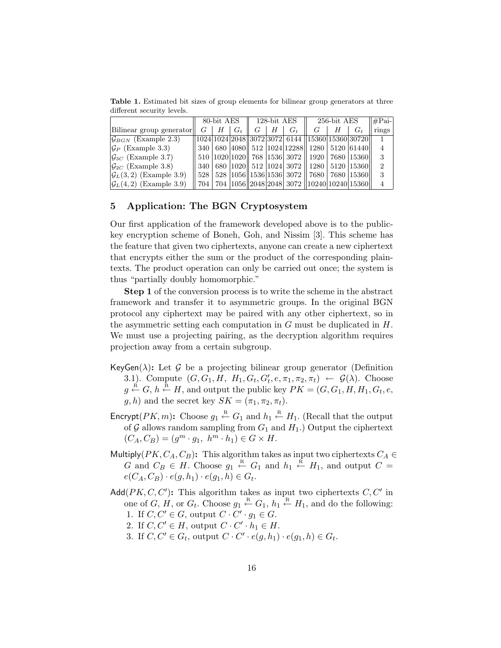Table 1. Estimated bit sizes of group elements for bilinear group generators at three different security levels.

|                                      | 80-bit AES |   |       | 128-bit AES |   |       | 256-bit AES |   |                                                              | ∥#Pai-∣                     |
|--------------------------------------|------------|---|-------|-------------|---|-------|-------------|---|--------------------------------------------------------------|-----------------------------|
| Bilinear group generator             |            | H | $G_t$ | G           | Η | $G_t$ | G           | Н | $G_t$                                                        | rings                       |
| $ \mathcal{G}_{BGN} $ (Example 2.3)  |            |   |       |             |   |       |             |   | $[1024]1024]2048$ $[3072]3072$ $[6144]15360]15360$ $[30720]$ |                             |
| $ \mathcal{G}_P $ (Example 3.3)      |            |   |       |             |   |       |             |   | 340   680   4080   512   1024   12288   1280   5120   61440  | 4                           |
| $ \mathcal{G}_{3C} $ (Example 3.7)   |            |   |       |             |   |       |             |   | 510   1020   1020   768   1536   3072   1920   7680   15360  | 3                           |
| $ \mathcal{G}_{2C} $ (Example 3.8)   |            |   |       |             |   |       |             |   | 340   680   1020   512   1024   3072   1280   5120   15360   | $\mathcal{D}_{\mathcal{L}}$ |
| $ \mathcal{G}_L(3,2) $ (Example 3.9) | 528        |   |       |             |   |       |             |   | 528 1056 1536 1536 3072 7680 7680 15360                      | 3                           |
| $ \mathcal{G}_L(4,2) $ (Example 3.9) | 704        |   |       |             |   |       |             |   | 704  1056  2048 2048  3072   10240 10240 15360               | 4                           |

#### 5 Application: The BGN Cryptosystem

Our first application of the framework developed above is to the publickey encryption scheme of Boneh, Goh, and Nissim [3]. This scheme has the feature that given two ciphertexts, anyone can create a new ciphertext that encrypts either the sum or the product of the corresponding plaintexts. The product operation can only be carried out once; the system is thus "partially doubly homomorphic."

Step 1 of the conversion process is to write the scheme in the abstract framework and transfer it to asymmetric groups. In the original BGN protocol any ciphertext may be paired with any other ciphertext, so in the asymmetric setting each computation in  $G$  must be duplicated in  $H$ . We must use a projecting pairing, as the decryption algorithm requires projection away from a certain subgroup.

- KeyGen( $\lambda$ ): Let G be a projecting bilinear group generator (Definition 3.1). Compute  $(G, G_1, H, H_1, G_t, G'_t, e, \pi_1, \pi_2, \pi_t) \leftarrow \mathcal{G}(\lambda)$ . Choose  $g \stackrel{\text{R}}{\leftarrow} G, h \stackrel{\text{R}}{\leftarrow} H$ , and output the public key  $PK = (G, G_1, H, H_1, G_t, e,$  $g, h$ ) and the secret key  $SK = (\pi_1, \pi_2, \pi_t)$ .
- **Encrypt**( $PK, m$ ): Choose  $g_1 \stackrel{R}{\leftarrow} G_1$  and  $h_1 \stackrel{R}{\leftarrow} H_1$ . (Recall that the output of  $G$  allows random sampling from  $G_1$  and  $H_1$ .) Output the ciphertext  $(C_A, C_B) = (g^m \cdot g_1, h^m \cdot h_1) \in G \times H.$
- Multiply( $PK, C_A, C_B$ ): This algorithm takes as input two ciphertexts  $C_A \in$ G and  $C_B \in H$ . Choose  $g_1 \stackrel{R}{\leftarrow} G_1$  and  $h_1 \stackrel{R}{\leftarrow} H_1$ , and output  $C =$  $e(C_A, C_B) \cdot e(g, h_1) \cdot e(g_1, h) \in G_t.$
- Add( $PK, C, C'$ ): This algorithm takes as input two ciphertexts  $C, C'$  in one of G, H, or  $G_t$ . Choose  $g_1 \stackrel{\text{R}}{\leftarrow} G_1$ ,  $h_1 \stackrel{\text{R}}{\leftarrow} H_1$ , and do the following: 1. If  $C, C' \in G$ , output  $C \cdot C' \cdot g_1 \in G$ .
	- 2. If  $C, C' \in H$ , output  $C \cdot C' \cdot h_1 \in H$ .
	- 3. If  $C, C' \in G_t$ , output  $C \cdot C' \cdot e(g, h_1) \cdot e(g_1, h) \in G_t$ .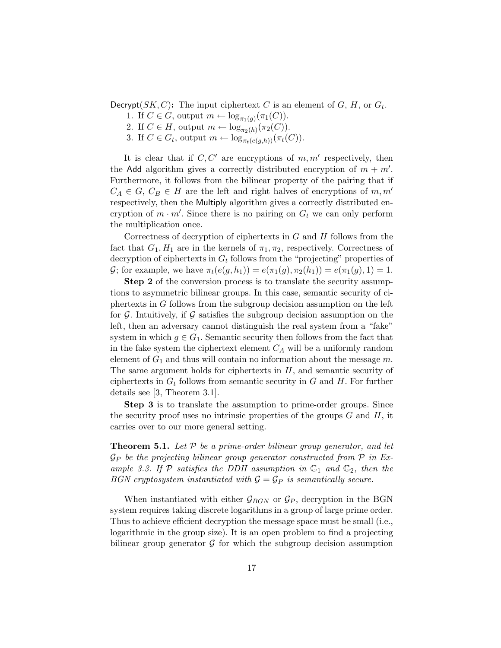Decrypt $(SK, C)$ : The input ciphertext C is an element of G, H, or  $G_t$ .

- 1. If  $C \in G$ , output  $m \leftarrow \log_{\pi_1(g)}(\pi_1(C)).$
- 2. If  $C \in H$ , output  $m \leftarrow \log_{\pi_2(h)}(\pi_2(C))$ .
- 3. If  $C \in G_t$ , output  $m \leftarrow \log_{\pi_t(e(g,h))}(\pi_t(C)).$

It is clear that if  $C, C'$  are encryptions of  $m, m'$  respectively, then the Add algorithm gives a correctly distributed encryption of  $m + m'$ . Furthermore, it follows from the bilinear property of the pairing that if  $C_A \in G$ ,  $C_B \in H$  are the left and right halves of encryptions of  $m, m'$ respectively, then the Multiply algorithm gives a correctly distributed encryption of  $m \cdot m'$ . Since there is no pairing on  $G_t$  we can only perform the multiplication once.

Correctness of decryption of ciphertexts in  $G$  and  $H$  follows from the fact that  $G_1, H_1$  are in the kernels of  $\pi_1, \pi_2$ , respectively. Correctness of decryption of ciphertexts in  $G_t$  follows from the "projecting" properties of G; for example, we have  $\pi_t(e(g, h_1)) = e(\pi_1(g), \pi_2(h_1)) = e(\pi_1(g), 1) = 1$ .

Step 2 of the conversion process is to translate the security assumptions to asymmetric bilinear groups. In this case, semantic security of ciphertexts in G follows from the subgroup decision assumption on the left for  $G$ . Intuitively, if  $G$  satisfies the subgroup decision assumption on the left, then an adversary cannot distinguish the real system from a "fake" system in which  $g \in G_1$ . Semantic security then follows from the fact that in the fake system the ciphertext element  $C_A$  will be a uniformly random element of  $G_1$  and thus will contain no information about the message m. The same argument holds for ciphertexts in  $H$ , and semantic security of ciphertexts in  $G_t$  follows from semantic security in  $G$  and  $H$ . For further details see [3, Theorem 3.1].

Step 3 is to translate the assumption to prime-order groups. Since the security proof uses no intrinsic properties of the groups  $G$  and  $H$ , it carries over to our more general setting.

**Theorem 5.1.** Let  $P$  be a prime-order bilinear group generator, and let  $\mathcal{G}_P$  be the projecting bilinear group generator constructed from  $\mathcal P$  in Example 3.3. If P satisfies the DDH assumption in  $\mathbb{G}_1$  and  $\mathbb{G}_2$ , then the BGN cryptosystem instantiated with  $\mathcal{G} = \mathcal{G}_P$  is semantically secure.

When instantiated with either  $\mathcal{G}_{BGN}$  or  $\mathcal{G}_P$ , decryption in the BGN system requires taking discrete logarithms in a group of large prime order. Thus to achieve efficient decryption the message space must be small (i.e., logarithmic in the group size). It is an open problem to find a projecting bilinear group generator  $\mathcal G$  for which the subgroup decision assumption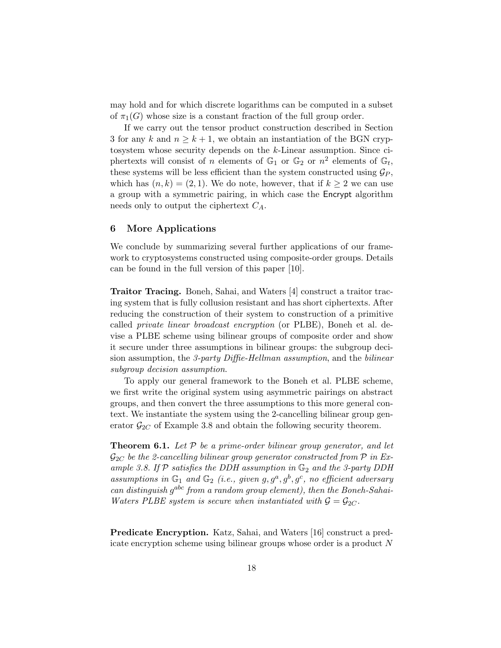may hold and for which discrete logarithms can be computed in a subset of  $\pi_1(G)$  whose size is a constant fraction of the full group order.

If we carry out the tensor product construction described in Section 3 for any k and  $n \geq k+1$ , we obtain an instantiation of the BGN cryptosystem whose security depends on the k-Linear assumption. Since ciphertexts will consist of n elements of  $\mathbb{G}_1$  or  $\mathbb{G}_2$  or  $n^2$  elements of  $\mathbb{G}_t$ , these systems will be less efficient than the system constructed using  $\mathcal{G}_P$ , which has  $(n, k) = (2, 1)$ . We do note, however, that if  $k \geq 2$  we can use a group with a symmetric pairing, in which case the Encrypt algorithm needs only to output the ciphertext  $C_A$ .

#### 6 More Applications

We conclude by summarizing several further applications of our framework to cryptosystems constructed using composite-order groups. Details can be found in the full version of this paper [10].

Traitor Tracing. Boneh, Sahai, and Waters [4] construct a traitor tracing system that is fully collusion resistant and has short ciphertexts. After reducing the construction of their system to construction of a primitive called private linear broadcast encryption (or PLBE), Boneh et al. devise a PLBE scheme using bilinear groups of composite order and show it secure under three assumptions in bilinear groups: the subgroup decision assumption, the 3-party Diffie-Hellman assumption, and the bilinear subgroup decision assumption.

To apply our general framework to the Boneh et al. PLBE scheme, we first write the original system using asymmetric pairings on abstract groups, and then convert the three assumptions to this more general context. We instantiate the system using the 2-cancelling bilinear group generator  $\mathcal{G}_{2C}$  of Example 3.8 and obtain the following security theorem.

**Theorem 6.1.** Let  $P$  be a prime-order bilinear group generator, and let  $\mathcal{G}_{2C}$  be the 2-cancelling bilinear group generator constructed from  $\mathcal{P}$  in Example 3.8. If  $P$  satisfies the DDH assumption in  $\mathbb{G}_2$  and the 3-party DDH assumptions in  $\mathbb{G}_1$  and  $\mathbb{G}_2$  (i.e., given  $g, g^a, g^b, g^c$ , no efficient adversary can distinguish  $g^{abc}$  from a random group element), then the Boneh-Sahai-Waters PLBE system is secure when instantiated with  $G = \mathcal{G}_{2C}$ .

Predicate Encryption. Katz, Sahai, and Waters [16] construct a predicate encryption scheme using bilinear groups whose order is a product N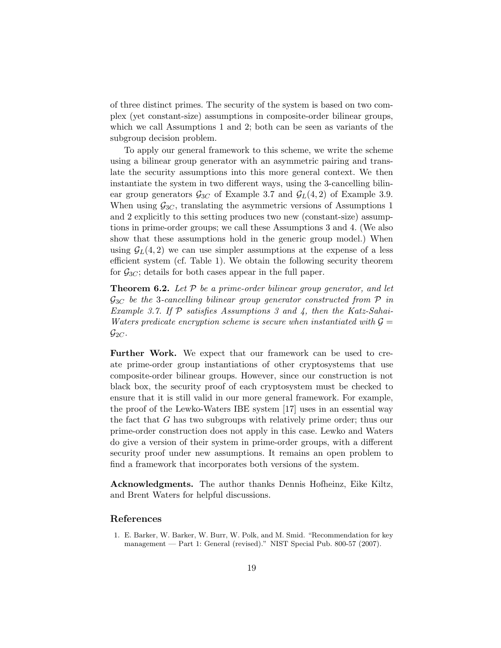of three distinct primes. The security of the system is based on two complex (yet constant-size) assumptions in composite-order bilinear groups, which we call Assumptions 1 and 2; both can be seen as variants of the subgroup decision problem.

To apply our general framework to this scheme, we write the scheme using a bilinear group generator with an asymmetric pairing and translate the security assumptions into this more general context. We then instantiate the system in two different ways, using the 3-cancelling bilinear group generators  $\mathcal{G}_{3C}$  of Example 3.7 and  $\mathcal{G}_{L}(4, 2)$  of Example 3.9. When using  $\mathcal{G}_{3C}$ , translating the asymmetric versions of Assumptions 1 and 2 explicitly to this setting produces two new (constant-size) assumptions in prime-order groups; we call these Assumptions 3 and 4. (We also show that these assumptions hold in the generic group model.) When using  $\mathcal{G}_L(4,2)$  we can use simpler assumptions at the expense of a less efficient system (cf. Table 1). We obtain the following security theorem for  $\mathcal{G}_{3C}$ ; details for both cases appear in the full paper.

**Theorem 6.2.** Let  $P$  be a prime-order bilinear group generator, and let  $\mathcal{G}_{3C}$  be the 3-cancelling bilinear group generator constructed from  $\mathcal{P}$  in Example 3.7. If  $\mathcal P$  satisfies Assumptions 3 and 4, then the Katz-Sahai-Waters predicate encryption scheme is secure when instantiated with  $\mathcal{G} =$  $\mathcal{G}_{2C}$ .

Further Work. We expect that our framework can be used to create prime-order group instantiations of other cryptosystems that use composite-order bilinear groups. However, since our construction is not black box, the security proof of each cryptosystem must be checked to ensure that it is still valid in our more general framework. For example, the proof of the Lewko-Waters IBE system [17] uses in an essential way the fact that G has two subgroups with relatively prime order; thus our prime-order construction does not apply in this case. Lewko and Waters do give a version of their system in prime-order groups, with a different security proof under new assumptions. It remains an open problem to find a framework that incorporates both versions of the system.

Acknowledgments. The author thanks Dennis Hofheinz, Eike Kiltz, and Brent Waters for helpful discussions.

### References

1. E. Barker, W. Barker, W. Burr, W. Polk, and M. Smid. "Recommendation for key management — Part 1: General (revised)." NIST Special Pub. 800-57 (2007).